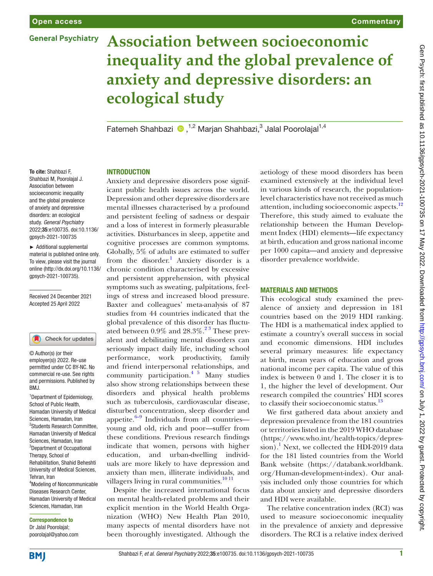**General Psychiatry** 

# **Association between socioeconomic inequality and the global prevalence of anxiety and depressive disorders: an ecological study**

FatemehShahbazi (D, <sup>1,2</sup> Marjan Shahbazi,<sup>3</sup> Jalal Poorolajal<sup>1,4</sup>

To cite: Shahbazi F, Shahbazi M, Poorolajal J. Association between socioeconomic inequality and the global prevalence of anxiety and depressive disorders: an ecological study. *General Psychiatry* 2022;35:e100735. doi:10.1136/ gpsych-2021-100735

► Additional supplemental material is published online only. To view, please visit the journal online [\(http://dx.doi.org/10.1136/](http://dx.doi.org/10.1136/gpsych-2021-100735) [gpsych-2021-100735\)](http://dx.doi.org/10.1136/gpsych-2021-100735).

Received 24 December 2021 Accepted 25 April 2022

### Check for updates

© Author(s) (or their employer(s)) 2022. Re-use permitted under CC BY-NC. No commercial re-use. See rights and permissions. Published by RM<sub>J</sub>

<sup>1</sup>Department of Epidemiology, School of Public Health, Hamadan University of Medical Sciences, Hamadan, Iran 2 Students Research Committee, Hamadan University of Medical Sciences, Hamadan, Iran 3 Department of Occupational Therapy, School of Rehabilitation, Shahid Beheshti University of Medical Sciences, Tehran, Iran 4 Modeling of Noncommunicable Diseases Research Center, Hamadan University of Medical Sciences, Hamadan, Iran

Correspondence to Dr Jalal Poorolajal; poorolajal@yahoo.com

## **INTRODUCTION**

Anxiety and depressive disorders pose significant public health issues across the world. Depression and other depressive disorders are mental illnesses characterised by a profound and persistent feeling of sadness or despair and a loss of interest in formerly pleasurable activities. Disturbances in sleep, appetite and cognitive processes are common symptoms. Globally, 5% of adults are estimated to suffer from the disorder.<sup>[1](#page-3-0)</sup> Anxiety disorder is a chronic condition characterised by excessive and persistent apprehension, with physical symptoms such as sweating, palpitations, feelings of stress and increased blood pressure. Baxter and colleagues' meta-analysis of 87 studies from 44 countries indicated that the global prevalence of this disorder has fluctuated between  $0.9\%$  and  $28.3\%$ .<sup>23</sup> These prevalent and debilitating mental disorders can seriously impact daily life, including school performance, work productivity, family and friend interpersonal relationships, and community participation. $4\frac{5}{9}$  Many studies also show strong relationships between these disorders and physical health problems such as tuberculosis, cardiovascular disease, disturbed concentration, sleep disorder and appetite. $6-9$  Individuals from all countries young and old, rich and poor—suffer from these conditions. Previous research findings indicate that women, persons with higher education, and urban-dwelling individuals are more likely to have depression and anxiety than men, illiterate individuals, and villagers living in rural communities.<sup>[10 11](#page-3-4)</sup>

Despite the increased international focus on mental health-related problems and their explicit mention in the World Health Organization (WHO) New Health Plan 2010, many aspects of mental disorders have not been thoroughly investigated. Although the

aetiology of these mood disorders has been examined extensively at the individual level in various kinds of research, the populationlevel characteristics have not received as much attention, including socioeconomic aspects.<sup>[12](#page-3-5)</sup> Therefore, this study aimed to evaluate the relationship between the Human Development Index (HDI) elements—life expectancy at birth, education and gross national income per 1000 capita—and anxiety and depressive disorder prevalence worldwide.

## Materials and methods

This ecological study examined the prevalence of anxiety and depression in 181 countries based on the 2019 HDI ranking. The HDI is a mathematical index applied to estimate a country's overall success in social and economic dimensions. HDI includes several primary measures: life expectancy at birth, mean years of education and gross national income per capita. The value of this index is between 0 and 1. The closer it is to 1, the higher the level of development. Our research compiled the countries' HDI scores to classify their socioeconomic status.<sup>[13](#page-3-6)</sup>

We first gathered data about anxiety and depression prevalence from the 181 countries or territories listed in the 2019 WHO database ([https://www.who.int/health-topics/depres](https://www.who.int/health-topics/depression)[sion](https://www.who.int/health-topics/depression)).<sup>1</sup> Next, we collected the HDI-2019 data for the 181 listed countries from the World Bank website [\(https://databank.worldbank.](https://databank.worldbank.org/Human-development-index) [org/Human-development-index\)](https://databank.worldbank.org/Human-development-index). Our analysis included only those countries for which data about anxiety and depressive disorders and HDI were available.

The relative concentration index (RCI) was used to measure socioeconomic inequality in the prevalence of anxiety and depressive disorders. The RCI is a relative index derived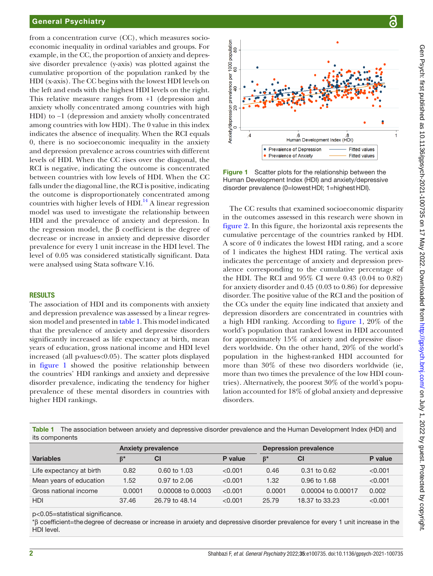## General Psychiatry

from a concentration curve (CC), which measures socioeconomic inequality in ordinal variables and groups. For example, in the CC, the proportion of anxiety and depressive disorder prevalence (y-axis) was plotted against the cumulative proportion of the population ranked by the HDI (x-axis). The CC begins with the lowest HDI levels on the left and ends with the highest HDI levels on the right. This relative measure ranges from +1 (depression and anxiety wholly concentrated among countries with high HDI) to −1 (depression and anxiety wholly concentrated among countries with low HDI). The 0 value in this index indicates the absence of inequality. When the RCI equals 0, there is no socioeconomic inequality in the anxiety and depression prevalence across countries with different levels of HDI. When the CC rises over the diagonal, the RCI is negative, indicating the outcome is concentrated between countries with low levels of HDI. When the CC falls under the diagonal line, the RCI is positive, indicating the outcome is disproportionately concentrated among countries with higher levels of  $HDI$ <sup>14</sup> A linear regression model was used to investigate the relationship between HDI and the prevalence of anxiety and depression. In the regression model, the β coefficient is the degree of decrease or increase in anxiety and depressive disorder prevalence for every 1 unit increase in the HDI level. The level of 0.05 was considered statistically significant. Data were analysed using Stata software V.16.

#### **RESULTS**

The association of HDI and its components with anxiety and depression prevalence was assessed by a linear regression model and presented in [table](#page-1-0) 1. This model indicated that the prevalence of anxiety and depressive disorders significantly increased as life expectancy at birth, mean years of education, gross national income and HDI level increased (all p-values<0.05). The scatter plots displayed in [figure](#page-1-1) 1 showed the positive relationship between the countries' HDI rankings and anxiety and depressive disorder prevalence, indicating the tendency for higher prevalence of these mental disorders in countries with higher HDI rankings.



<span id="page-1-1"></span>**Figure 1** Scatter plots for the relationship between the Human Development Index (HDI) and anxiety/depressive disorder prevalence (0=lowestHDI; 1=highestHDI).

The CC results that examined socioeconomic disparity in the outcomes assessed in this research were shown in [figure](#page-2-0) 2. In this figure, the horizontal axis represents the cumulative percentage of the countries ranked by HDI. A score of 0 indicates the lowest HDI rating, and a score of 1 indicates the highest HDI rating. The vertical axis indicates the percentage of anxiety and depression prevalence corresponding to the cumulative percentage of the HDI. The RCI and 95% CI were 0.43 (0.04 to 0.82) for anxiety disorder and 0.45 (0.03 to 0.86) for depressive disorder. The positive value of the RCI and the position of the CCs under the equity line indicated that anxiety and depression disorders are concentrated in countries with a high HDI ranking. According to [figure](#page-1-1) 1, 20% of the world's population that ranked lowest in HDI accounted for approximately 15% of anxiety and depressive disorders worldwide. On the other hand, 20% of the world's population in the highest-ranked HDI accounted for more than 30% of these two disorders worldwide (ie, more than two times the prevalence of the low HDI countries). Alternatively, the poorest 30% of the world's population accounted for 18% of global anxiety and depressive disorders.

<span id="page-1-0"></span>Table 1 The association between anxiety and depressive disorder prevalence and the Human Development Index (HDI) and its components

|                          | <b>Anxiety prevalence</b> |                         |         | <b>Depression prevalence</b> |                    |         |
|--------------------------|---------------------------|-------------------------|---------|------------------------------|--------------------|---------|
| <b>Variables</b>         | $\mathbf{B}^*$            | CI                      | P value | $\mathbf{B}^*$               | <b>CI</b>          | P value |
| Life expectancy at birth | 0.82                      | $0.60 \text{ to } 1.03$ | < 0.001 | 0.46                         | $0.31$ to $0.62$   | < 0.001 |
| Mean years of education  | 1.52                      | $0.97$ to 2.06          | < 0.001 | 1.32                         | 0.96 to 1.68       | < 0.001 |
| Gross national income    | 0.0001                    | 0.00008 to 0.0003       | < 0.001 | 0.0001                       | 0.00004 to 0.00017 | 0.002   |
| <b>HDI</b>               | 37.46                     | 26.79 to 48.14          | < 0.001 | 25.79                        | 18.37 to 33.23     | < 0.001 |

p<0.05=statistical significance.

\*β coefficient=thedegree of decrease or increase in anxiety and depressive disorder prevalence for every 1 unit increase in the HDI level.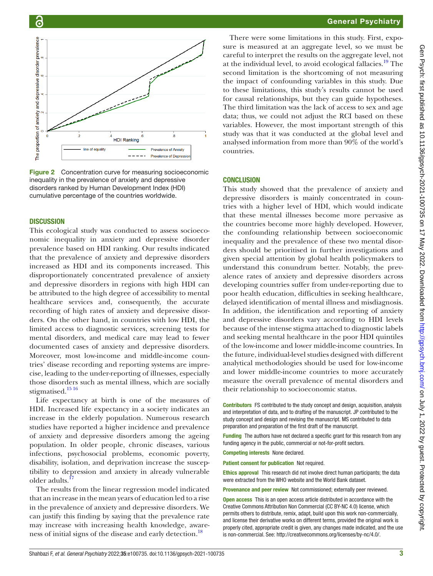

<span id="page-2-0"></span>Figure 2 Concentration curve for measuring socioeconomic inequality in the prevalence of anxiety and depressive disorders ranked by Human Development Index (HDI) cumulative percentage of the countries worldwide.

## **DISCUSSION**

This ecological study was conducted to assess socioeconomic inequality in anxiety and depressive disorder prevalence based on HDI ranking. Our results indicated that the prevalence of anxiety and depressive disorders increased as HDI and its components increased. This disproportionately concentrated prevalence of anxiety and depressive disorders in regions with high HDI can be attributed to the high degree of accessibility to mental healthcare services and, consequently, the accurate recording of high rates of anxiety and depressive disorders. On the other hand, in countries with low HDI, the limited access to diagnostic services, screening tests for mental disorders, and medical care may lead to fewer documented cases of anxiety and depressive disorders. Moreover, most low-income and middle-income countries' disease recording and reporting systems are imprecise, leading to the under-reporting of illnesses, especially those disorders such as mental illness, which are socially stigmatised.<sup>[15 16](#page-3-8)</sup>

Life expectancy at birth is one of the measures of HDI. Increased life expectancy in a society indicates an increase in the elderly population. Numerous research studies have reported a higher incidence and prevalence of anxiety and depressive disorders among the ageing population. In older people, chronic diseases, various infections, psychosocial problems, economic poverty, disability, isolation, and deprivation increase the susceptibility to depression and anxiety in already vulnerable older adults.<sup>[17](#page-3-9)</sup>

The results from the linear regression model indicated that an increase in the mean years of education led to a rise in the prevalence of anxiety and depressive disorders. We can justify this finding by saying that the prevalence rate may increase with increasing health knowledge, awareness of initial signs of the disease and early detection.<sup>18</sup>

There were some limitations in this study. First, exposure is measured at an aggregate level, so we must be careful to interpret the results on the aggregate level, not at the individual level, to avoid ecological fallacies.<sup>19</sup> The second limitation is the shortcoming of not measuring the impact of confounding variables in this study. Due to these limitations, this study's results cannot be used for causal relationships, but they can guide hypotheses. The third limitation was the lack of access to sex and age data; thus, we could not adjust the RCI based on these variables. However, the most important strength of this study was that it was conducted at the global level and analysed information from more than 90% of the world's countries.

### **CONCLUSION**

This study showed that the prevalence of anxiety and depressive disorders is mainly concentrated in countries with a higher level of HDI, which would indicate that these mental illnesses become more pervasive as the countries become more highly developed. However, the confounding relationship between socioeconomic inequality and the prevalence of these two mental disorders should be prioritised in further investigations and given special attention by global health policymakers to understand this conundrum better. Notably, the prevalence rates of anxiety and depressive disorders across developing countries suffer from under-reporting due to poor health education, difficulties in seeking healthcare, delayed identification of mental illness and misdiagnosis. In addition, the identification and reporting of anxiety and depressive disorders vary according to HDI levels because of the intense stigma attached to diagnostic labels and seeking mental healthcare in the poor HDI quintiles of the low-income and lower middle-income countries. In the future, individual-level studies designed with different analytical methodologies should be used for low-income and lower middle-income countries to more accurately measure the overall prevalence of mental disorders and their relationship to socioeconomic status.

Contributors FS contributed to the study concept and design, acquisition, analysis and interpretation of data, and to drafting of the manuscript. JP contributed to the study concept and design and revising the manuscript. MS contributed to data preparation and preparation of the first draft of the manuscript.

**Funding** The authors have not declared a specific grant for this research from any funding agency in the public, commercial or not-for-profit sectors.

Competing interests None declared.

Patient consent for publication Not required.

Ethics approval This research did not involve direct human participants; the data were extracted from the WHO website and the World Bank dataset.

Provenance and peer review Not commissioned; externally peer reviewed.

**Open access** This is an open access article distributed in accordance with the Creative Commons Attribution Non Commercial (CC BY-NC 4.0) license, which permits others to distribute, remix, adapt, build upon this work non-commercially, and license their derivative works on different terms, provided the original work is properly cited, appropriate credit is given, any changes made indicated, and the use is non-commercial. See: [http://creativecommons.org/licenses/by-nc/4.0/.](http://creativecommons.org/licenses/by-nc/4.0/)